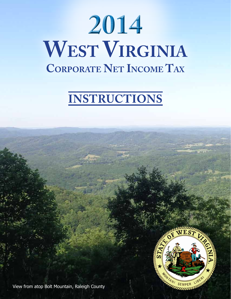# **2014 West Virginia Corporate Net Income Tax**

# **Instructions**



View from atop Bolt Mountain, Raleigh County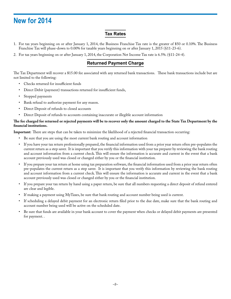# **New for 2014**

#### **Tax Rates**

- 1. For tax years beginning on or after January 1, 2014, the Business Franchise Tax rate is the greater of \$50 or 0.10%. The Business Franchise Tax will phase-down to 0.00% for taxable years beginning on or after January 1, 2015 (§11-23-6).
- 2. For tax years beginning on or after January 1, 2014, the Corporation Net Income Tax rate is 6.5%. (§11-24-4).

#### **Returned Payment Charge**

The Tax Department will recover a \$15.00 fee associated with any returned bank transactions. These bank transactions include but are not limited to the following:

- • Checks returned for insufficient funds
- Direct Debit (payment) transactions returned for insufficient funds,
- Stopped payments
- Bank refusal to authorize payment for any reason.
- Direct Deposit of refunds to closed accounts
- Direct Deposit of refunds to accounts containing inaccurate or illegible account information

#### **The fee charged for returned or rejected payments will be to recover only the amount charged to the State Tax Department by the financial institutions.**

**Important:** There are steps that can be taken to minimize the likelihood of a rejected financial transaction occurring:

- Be sure that you are using the most current bank routing and account information
- If you have your tax return professionally prepared, the financial information used from a prior year return often pre-populates the current return as a step saver. It is important that you verify this information with your tax preparer by reviewing the bank routing and account information from a current check. This will ensure the information is accurate and current in the event that a bank account previously used was closed or changed either by you or the financial institution.
- If you prepare your tax return at home using tax preparation software, the financial information used from a prior year return often pre-populates the current return as a step saver. It is important that you verify this information by reviewing the bank routing and account information from a current check. This will ensure the information is accurate and current in the event that a bank account previously used was closed or changed either by you or the financial institution.
- If you prepare your tax return by hand using a paper return, be sure that all numbers requesting a direct deposit of refund entered are clear and legible.
- If making a payment using MyTaxes, be sure that bank routing and account number being used is current.
- If scheduling a delayed debit payment for an electronic return filed prior to the due date, make sure that the bank routing and account number being used will be active on the scheduled date.
- Be sure that funds are available in your bank account to cover the payment when checks or delayed debit payments are presented for payment. .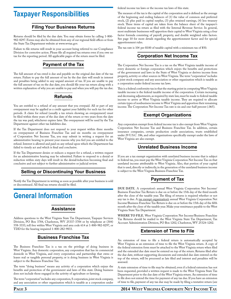### **Taxpayer Responsibilities**

#### **Filing Your Business Returns**

Returns should be filed by the due date. You may obtain forms by calling 1-800- 982-8297. Forms may also be obtained from any of our regional field offices or from the State Tax Department website at www.wvtax.gov.

Failure to file returns will result in your account being referred to our Compliance Division for corrective action. Please file all required tax returns even if you owe no tax for the reporting period. All applicable pages of the return must be filed.

### **Payment of the Tax**

The full amount of tax owed is due and payable on the original due date of the tax return. Failure to pay the full amount of tax by the due date will result in interest and penalties being added to any unpaid amount of tax. If you are unable to pay the full amount of tax on the due date, you should file your tax return along with a written explanation of why you are unable to pay and when you will pay the tax due.

### **Refunds**

You are entitled to a refund of any amount that you overpaid. All or part of any overpayment may be applied as a credit against your liability for such tax for other periods. A claim for refund (usually a tax return showing an overpayment) must be filed within three years of the due date of the return or two years from the date the tax was paid, whichever expires later. The overpayment will be used by the Tax Department against other tax liabilities due.

If the Tax Department does not respond to your request within three months on overpayment of Business Franchise Tax and six months on overpayment of Corporation Net Income Tax, you may submit in writing a request for an administrative hearing to present your reasons why you feel you are entitled to the refund. Interest is allowed and paid on any refund upon which the Department has failed to timely act and which is final and conclusive.

If the Tax Department denies or reduces a request for a refund, a written request for an administrative hearing may be submitted. Failure to respond to a denial or reduction within sixty days will result in the denial/reduction becoming final and conclusive and not subject to further administrative or judicial review.

#### **Selling or Discontinuing Your Business**

Notify the Tax Department in writing as soon as possible after your business is sold or discontinued. All final tax returns should be filed.

# **General Information**

### **Assistance**

Address questions to the West Virginia State Tax Department, Taxpayer Services Division, PO Box 3784, Charleston, WV 25337-3784 or by telephone at (304) 558-3333, toll free within West Virginia and area code 614 at 1-800-982-8297, or TDD for the hearing impaired 1-800-282-9833.

#### **Business Franchise Tax**

The Business Franchise Tax is a tax on the privilege of doing business in West Virginia. Any domestic corporation, any corporation that has its commercial domicile in West Virginia, and every corporation and partnership that owns or leases real or tangible personal property, or is doing business in West Virginia is subject to the Business Franchise Tax.

The term "doing business" means any activity of a corporation which enjoys the benefits and protection of the government and laws of this state. Doing business does not include those engaged in the activity of agriculture or farming.

The term "corporation" includes any corporation, S corporation, joint stock company, and any association or other organization which is taxable as a corporation under

federal income tax laws or the income tax laws of this state.

The measure of the tax is the capital of the corporation and is defined as the average of the beginning and ending balances of (1) the value of common and preferred stock, (2) plus paid in capital surplus, (3) plus retained earnings, (4) less treasury stock. These items of capital are taken from the balance sheet of the taxpayer's federal income tax return as filed with the Internal Revenue Service. In general, most multistate businesses will apportion their capital to West Virginia using a four factor formula consisting of payroll, property, and double weighted sales factors. See page 10 for more details regarding the apportionment factor and for special apportionment rules.

The tax rate is 10¢ per \$100 of taxable capital with a minimum tax of \$50.

#### **Corporation Net Income Tax**

The Corporation Net Income Tax is a tax on the West Virginia taxable income of every domestic or foreign corporation which enjoys the benefits and protections of the government and laws in the State of West Virginia or derives income from property, activity or other sources in West Virginia. The term "corporation" includes a joint stock company and any association or other organization which is taxable as a corporation under federal income tax laws.

This is a federal conformity tax in that the starting point in computing West Virginia taxable income is the federal taxable income of the corporation. Certain increasing and decreasing adjustments, as required by state law, must be made to federal taxable income to arrive at West Virginia taxable income. They are required to allocate certain types of nonbusiness income to West Virginia and apportion their remaining income. The Corporation Net Income Tax rate is six and one-half percent (.065).

### **Exempt Organizations**

Any corporation exempt from federal income tax is also exempt from West Virginia Corporation Net Income Tax and Business Franchise Tax. In addition, certain insurance companies, certain production credit associations, trusts established under 29 U.S.C. 186, and other organizations specifically exempt under the laws of West Virginia are also exempt.

#### **Unrelated Business Income**

If you are a tax exempt organization with unrelated business income that is subject to federal tax, you must pay the West Virginia Corporation Net Income Tax on that unrelated income attributable to West Virginia. Also, that portion of your capital that is used, directly or indirectly, in the generation of the unrelated business income is subject to the West Virginia Business Franchise Tax.

#### **Payment of Tax**

**Due Date.** A corporation's annual West Virginia Corporation Net Income/ Business Franchise Tax Return is due on or before the 15th day of the third month after the close of the taxable year. The filing of returns is required whether or not any tax is due. A tax exempt organization's annual West Virginia Corporation Net Income/Business Franchise Tax Return is due on or before the 15th day of the fifth month after the close of the taxable year. Make your remittance payable to the West Virginia State Tax Department.

**Where to file.** West Virginia Corporation Net Income/Business Franchise Tax Returns should be mailed to the West Virginia State Tax Department, Tax Account Administration Division, PO Box 1202, Charleston, WV 25324-1202.

#### **Extension of Time to File**

An extension of time to file a federal return is automatically accepted by West Virginia as an extension of time to file the West Virginia return. A copy of the federal extension form must be attached to the West Virginia return when filed and the extended due date must be entered on top of the return. Returns filed after the due date, without supporting documents and extended due date entered on the top of the return, will be processed as late filed and interest and penalties will be assessed.

A state extension of time to file may be obtained, even if a federal extension has not been requested, provided a written request is made to the West Virginia State Tax Department prior to the due date of the West Virginia return. An extension of time to file does not extend the time for payment of any tax due. If you have an extension of time to file, payment of any tax due may be made by filing a tentative return (see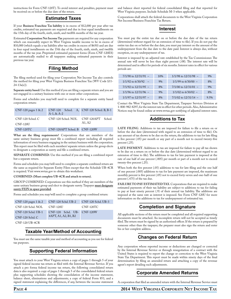instructions for Form CNF-120T). To avoid interest and penalties, payment must be received on or before the due date of the return.

#### **Estimated Taxes**

If your **Business Franchise Tax liability** is in excess of \$12,000 per year after tax credits, estimated tax payments are required and due in four equal installments on the 15th day of the fourth, sixth, ninth, and twelfth months of the tax year.

Estimated **Corporation Net Income Tax** payments are required for any corporation which can reasonably expect its West Virginia taxable income to be in excess of \$10,000 (which equals a tax liability after tax credits in excess of \$650) and are due in four equal installments on the 15th day of the fourth, sixth, ninth, and twelfth months of the tax year. Preprinted estimated payment forms (Form CNF-120ES) are automatically mailed to all taxpayers making estimated payments in their previous tax year.

### **Filing Method**

The filing method used for filing your Corporation Net Income Tax also controls the method for filing your West Virginia Business Franchise Tax (WV Code §11-  $24 - 13a(e)$ ).

**Separate entity based:** Use this method if you are filing a separate return and you are not engaged in a unitary business with one or more other corporations.

Forms and schedules you may/will need to complete for a separate entity based corporation return:

| $CNF-120$ pages $1 & 2$             | CNF-120 Sched. A, CNF-120 Sched. B, B-1<br>$A-1, & A-2$ |                                |
|-------------------------------------|---------------------------------------------------------|--------------------------------|
| CNF-120 Sched. C<br><b>CNF-120U</b> | CNF-120 Sched. NOL                                      | CNF-120APT<br>Sched.<br>A1, A2 |
| CNF-120TC                           | CNF-120APT Sched. B CNF-120W                            |                                |

**What are the filing requirements?** Corporations that are members of the same unitary business group must file a combined report including all required information of every business engaging in the unitary business with the corporation. This report must be filed with each members' separate return unless the group elects to designate a corporation as surety and file a combined return.

SEPARATE COMBINED: Use this method if you are filing a combined report but a separate return.

Forms and schedules you may/will need to complete a separate combined return are the same as required for Separate Entity Filers except that the Schedule UB-4CR is required. Visit www.wvtax.gov to obtain this worksheet.

#### **Combined: (Must complete UB-4CR and attach to return).**

GROUP COMBINED: Corporations use this method if they are members of the same unitary business group and elect to designate surety. Taxpayer **must designate surety FEIN in space provided**.

Forms and schedules you may/will need to complete a group combined return:

| $CNF-120$ pages $1 & 2$ | CNF-120 Schd. UB-2         | CNF-120 Schd. UB-3 |
|-------------------------|----------------------------|--------------------|
| CNF-120 Schd. NOL       | <b>CNF-120U</b>            | CNF-120TC          |
| CNF-120 Schd. UB-1      | CNF-120 Schd. UB- CNF-120W |                    |
| $CNF-120$ Schd, C       | 4APT, A1, A2, B1, B2       |                    |

CNF-120 UB-4CR

### **Taxable Year/Method of Accounting**

You must use the same taxable year and method of accounting as you use for federal tax purposes.

#### **Supporting Federal Information**

You must attach to your West Virginia return a copy of pages 1 through 5 of your signed federal income tax return as filed with the Internal Revenue Service. If you attach a pro forma federal income tax return, the following consolidated return data is also required: a copy of pages 1 through 5 of the consolidated federal return plus supporting schedules showing the consolidation of the income statement, balance sheet, eliminations and adjustments; a copy of federal Form 851; and a signed statement explaining the differences, if any, between the income statement

and balance sheet reported for federal consolidated filing and that reported for West Virginia purposes. Include Schedule M-3 when applicable.

Corporations shall attach the federal documents to the West Virginia Corporation Net Income/Business Franchise Tax Return.

#### **Interest**

You must pay the entire tax due on or before the due date of the tax return (determined without regard for an extension of time to file). If you do not pay the entire tax due on or before the due date, you must pay interest on the amount of the underpayment from the due date to the date paid. Interest is always due, without exception, on any underpayment of tax.

Interest is imposed by an adjusted rate established by the Tax Commissioner. The annual rate will never be less than eight percent (.08). The interest rate will be determined and in effect for periods of six months. Interest rates in effect for various periods are:

| $7/1/90$ to $12/31/91$ - | 10\% | $1/1/98$ to $12/31/98$ - | 9%   |
|--------------------------|------|--------------------------|------|
| $1/1/92$ to 6/30/92 –    | 9%   | $1/1/99$ to 6/30/00 -    | 8%   |
| $7/1/92$ to $12/31/95$ - | 8%   | $7/1/00$ to $12/31/01$ - | 9%   |
| $1/1/96$ to $12/31/96$ - | 9%   | $1/1/02$ to 6/30/02 -    | 8%   |
| $1/1/97$ to $12/31/97$ – | 8%   | $7/1/02$ to $12/31/14$ - | 9.5% |

Contact the West Virginia State Tax Department, Taxpayer Services Division at 1-800-982-8297, for the interest rate in effect for other periods. Also, Administrative Notices may be found online at www.wvtax.gov notifying of adjusted interest rates.

### **Additions to Tax**

LATE FILING. Additions to tax are imposed for failure to file a return on or before the due date (determined with regard to an extension of time to file). On any amount of tax shown to be due on the return, the additions to tax for late filing is five percent (.05) per month or any part of a month not to exceed twenty-five percent (.25).

LATE PAYMENT. Additions to tax are imposed for failure to pay all tax shown to be due on a return on or before the due date (determined without regard to an extension of time to file). The additions to tax for late payment is imposed at the rate of one half of one percent (.005) per month or part of a month not to exceed twenty-five percent (.25).

When both the five percent (.05) additions to tax for late filing and the one half of one percent (.005) additions to tax for late payment are imposed, the maximum monthly percent is five percent (.05) not to exceed forty-seven and one-half of one percent (.475) of the tax due.

FAILURE TO PAY ESTIMATED TAX. Corporations that are required to make estimated payments of their tax liability are subject to additions to tax for failing to pay at least ninety percent (.9) of their annual tax liability. The additions are imposed at the same rate as interest is imposed. See Form CNF-120U for more information on the additions to tax for underpayment of estimated tax.

#### **Completion and Signature**

All applicable sections of the return must be completed and all required supporting documents must be attached. An incomplete return will not be accepted as timely filed. The return must be signed by an authorized officer. If the return is prepared by someone other than the taxpayer, the preparer must also sign the return and enter his or her complete address.

#### **Changes on Federal Return**

Any corporation whose reported income or deductions are changed or corrected by the Internal Revenue Service or through renegotiation of a contract with the United States is required to report the change or correction to the West Virginia State Tax Department. This report must be made within ninety days of the final determination by filing an amended return and attaching a copy of the revenue agent's report detailing such adjustments.

#### **Corporate Amended Returns**

A corporation that filed an amended return with the Internal Revenue Service must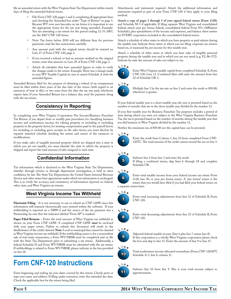file an amended return with the West Virginia State Tax Department within ninety days of filing the amended federal return.

- File Form CNF-120, pages 1 and 2, completing all appropriate lines and checking the Amended box under "Type of Return" on page 1. Because WV now uses barcodes on tax forms it is important to use the appropriate forms for the tax year being amended. Example: You are amending a tax return for the period ending 12-31-2007; use the 2007 CNF-120 forms.
- Note: Tax forms before 2010 will use different lines for previous payments; read the line instructions carefully.
- Any amount paid with the original return should be entered on Line 27 of Form CNF-120, page 2.
- If you received a refund, or had an amount credited on the original return, enter that amount on Line 29 of Form CNF-120, page 2.
- Attach all schedules that have amended figures in order to verify the changes made to the return. Example: There was a change made to your WV Taxable Capital; be sure to attach Schedule A with the amended figures.

Amended Returns filed for the purpose of obtaining a refund of an overpayment must be filed within three years of the due date of the return (with regard to an extension of time to file), or two years from the date the tax was paid, whichever expires later. If your Amended Return has a balance due, send the payment along with the tax return.

### **Consistency in Reporting**

In completing your West Virginia Corporation Net Income/Business Franchise Tax Return, if you depart from or modify past procedures for classifying business income and nonbusiness income, for valuing property or including or excluding property in the property factor, for treating compensation paid in the payroll factor, for including or excluding gross receipts in the sales factor, you must disclose by separate attached schedule detailing the nature and extent of the variances or modifications.

If you make sales of tangible personal property which are shipped into a state in which you are not taxable, you must identify the state to which the property is shipped and report the total amount of sales assigned to such state.

#### **Confidential Information**

Tax information which is disclosed to the West Virginia State Tax Department, whether through returns or through department investigation, is held in strict confidence by law. The State Tax Department, the United States Internal Revenue Service and other states have agreements under which tax information is exchanged. This is to verify the accuracy and consistency of information reported on federal, other state, and West Virginia tax returns.

#### **West Virginia Income Tax Withheld**

**Electronic Filing** – It is not necessary to use or submit an CNF-120W since this information will transmit electronically once entered within the software. If your withholding is reported on a NRW-2 and the source of the tax payment was a Partnership, be sure that the indicator labeled "From SP" is marked.

**Paper Filed Returns** – Enter the total amount of West Virginia tax withheld as shown on your Form CNF-120W. A completed CNF-120W *must* be enclosed with your paper return. Failure to submit this document will result in the disallowance of the credit claimed. **Note**: Local or municipal fees cannot be claimed as West Virginia income tax withheld. If the withholding source is for a nonresident sale of real estate transaction, a Form WV/NRSR must be completed and on file with the State Tax Department prior to submitting a tax return. Additionally, a federal Schedule D and Form WV/NRSR must be submitted with the tax return. If withholdings is related to Form WV/NRSR, please indicate in the box provided on line 26.

## **Form CNF-120 Instructions**

Enter beginning and ending tax year dates covered by this return. Clearly print or type your name and address. If filing under extension, enter the extended due date. Check the applicable box for the return being filed.

Attachments and statements required: Attach the additional information and statements required as part of your Form CNF-120 if they apply to your filing method.

**Attach a copy of pages 1 through 5 of your signed federal return (Form 1120)**, and Schedule M-3 if applicable. If filing separate West Virginia and consolidated federal, attach your pro forma federal, consolidated federal Form 851 (Affiliation Schedule), plus spreadsheets of the income and expenses, and balance sheet entries for EVERY corporation included in the consolidated federal return.

Attach a schedule of other states in which you have property or paid salaries during the taxable year. Indicate those states in which you are filing corporate tax returns based on, or measured by, net income for this taxable year.

Attach a schedule of other states in which you have sales of tangible personal property during the taxable year and in which you are not taxed (e.g. P.L.86-272). Indicate by state the amount of sales not subject to tax.





Enter West Virginia taxable capital from completed Schedule A, Form CNF-120, Line 12. Combined filers will enter the amount from line 22 of Schedule UB-2.



Multiply line 1 by the tax rate on line 2 and enter the result or \$50.00, whichever is greater.

If your federal taxable year is a short taxable year, the year is prorated based on the number of months that are in the short taxable year divided by the number 12.

If your first taxable year for Business Franchise Tax purposes includes a period of time during which you were not subject to the West Virginia Business Franchise Tax, the tax is prorated based on the number of months during the taxable year that you did business in West Virginia divided by the number 12.

Neither the minimum tax of \$50.00 nor the capital base can be prorated.



Enter the result from Column 1, line 24 from completed Form CNF-120TC. The total amount of the credit cannot exceed the tax on line 3.

# **L <sup>i</sup> <sup>n</sup> <sup>e</sup>**



Subtract line 4 from line 3 and enter the result.



If filing a combined return, skip lines 6 through 18 and complete Schedule UB.





7

Enter total increasing adjustments from line 12 of Schedule B, Form CNF-120.



Enter total decreasing adjustments from line 23 of Schedule B, Form CNF-120.

#### $9$ **L <sup>i</sup> <sup>n</sup> <sup>e</sup>**





Total nonbusiness income allocated everywhere (Form CNF-120APT, Schedule A-1, line 8, column 3).

#### **L <sup>i</sup> <sup>n</sup> <sup>e</sup>**

11

Subtract line 10 from line 9. This is your total income subject to apportionment.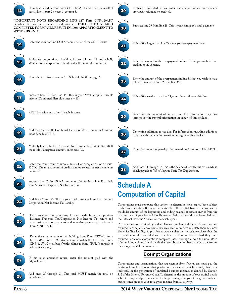

Complete Schedule B of Form CNF-120APT and enter the result of part 1, line 8; part 2 or part 3, column 3.

**\*\*Important note regarding line 12\*\*** Form CNF-120APT, Schedule B must be completed and attached. **FAILURE TO ATTACH completed form will result in 100% apportionment to West Virginia.**



Enter the result of line 12 of Schedule A2 of Form CNF-120APT.



**L <sup>i</sup> <sup>n</sup> <sup>e</sup>**

Multistate corporations should add lines 13 and 14 and wholly West Virginia corporations should enter the amount from line 9.



Enter the total from column 6 of Schedule NOL on page 6.



Subtract line 16 from line 15. This is your West Virginia Taxable income. Combined filers skip lines 6 – 18.



REIT Inclusion and other Taxable income



Add lines 17 and 18. Combined filers should enter amount from line 20 of Schedule UB-3.



Multiply line 19 by the Corporate Net Income Tax Rate in line 20. If the result is a negative amount, enter zero (0).



Enter the result from column 2, line 24 of completed Form CNF-120TC. The total amount of credits cannot exceed the net income tax on line 21.



Subtract line 22 from line 21 and enter the result on line 23. This is your Adjusted Corporate Net Income Tax.



Add lines 5 and 23. This is your total Business Franchise Tax and Corporation Net Income Tax liability.



Enter total of prior year carry forward credit from your previous Business Franchise Tax/Corporation Net Income Tax return and total estimated tax payments and tentative payment(s) made with Form CNF-120T.



Enter the total amount of withholding from Form NRW-2, Form K-1, and/or Form 1099. Amount must match the total from Form CNF-120W. Check box if withholding is from NRSR (nonresident sale of real estate).



If this is an amended return, enter the amount paid with the original return.



Add lines 25 through 27. This total MUST match the total on Schedule C.



previously refunded or credited.

If this an amended return, enter the amount of an overpayment





If line 30 is smaller than line 24, enter the tax due on this line.

35

Determine the amount of interest due. For information regarding interest, see the general information on page 4 of this booklet.



Determine additions to tax due. For information regarding additions to tax, see the general information on page 4 of this booklet.



Enter the amount of penalty of estimated tax from Form CNF-120U.



Add lines 34 through 37. This is the balance due with this return. Make check payable to West Virginia State Tax Department.

# **Schedule A Computation of Capital**

Corporations must complete this section to determine their capital base subject to the West Virginia Business Franchise Tax. The capital base is the average of the dollar amount of the beginning and ending balance of certain entries from the balance sheet of your Federal Tax Return as filed or as would have been filed with the Internal Revenue Service for the taxable year.

Corporations not required by Federal law to complete and file a balance sheet are required to complete a pro forma balance sheet in order to calculate their Business Franchise Tax liability. A pro forma balance sheet is the balance sheet that the corporation would have filed with the Internal Revenue Service had they been required to file one. Corporations complete lines 1 through 7. Add the amounts in column 1 and column 2 and divide the result by the number two (2) to determine the average capital for column 3.

### **Exempt Organizations**

Corporations and organizations that are exempt from federal tax must pay the Business Franchise Tax on that portion of their capital which is used, directly or indirectly, in the generation of unrelated business income, as defined by Section 512 of the Internal Revenue Code. To determine the amount of your capital that is subject to tax, multiply your capital by the percentage that your total gross unrelated business income is to your total gross income from all activity.

#### **Page 6 2014 West Virginia Corporate Net Income Tax**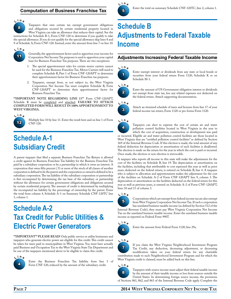#### **Computation of Business Franchise Tax**



Taxpayers that own certain tax exempt government obligations and obligations secured by certain residential property located in West Virginia can take an allowance that reduces their capital. See the instructions for Schedule B-1, Form CNF-120 to determine if you qualify to take

the special allowance. If you do not qualify for the special allowance skip lines 8 and 9 of Schedule A, Form CNF-120. Instead, enter the amount from line 7 on line 10.



Generally, the apportionment factor used to apportion your income for Corporation Net Income Tax purposes is used to apportion your capital base for Business Franchise Tax purposes. There are two exceptions:

- 1. The special apportionment rules for certain motor carriers cannot be used for the Business Franchise Tax. Motor Carriers will need to complete Schedule B, Part 1 of Form CNF-120APT to determine their apportionment factor for Business Franchise tax purposes.
- 2. Taxpayers, exempt from, or not subject to, the West Virginia Corporation Net Income Tax must complete Schedule B, Form CNF-120APT to determine their apportionment factor for Business Franchise Tax.

**\*\*Important note regarding line 11\*\*** Form CNF-120APT, Schedule B must be completed and attached. FAILURE TO ATTACH **completed form will result in 100% apportionment to West Virginia.**



Multiply line 10 by line 11. Enter the result here and on line 1 of Form CNF-120.

# **Schedule A-1 Subsidiary Credit**

A parent taxpayer that filed a separate Business Franchise Tax Return is allowed a credit against its Business Franchise Tax liability for the Business Franchise Tax paid by a subsidiary corporation or by a partnership in which it owns an interest. A corporation that owns fifty percent (.5) or more of the stock of all classes of another corporation is defined to be the parent and the corporation so owned is defined to be a subsidiary corporation. The tax liability of the subsidiary corporation or partnership is first recomputed by determining the tax base of the subsidiary or partnership without the allowance for certain government obligations and obligations secured by certain residential property. The amount of credit is determined by multiplying the recomputed tax liability by the percentage of ownership by the parent. Enter the total from column 4, Schedule A-1 on Summary Schedule CNF-120TC line 1, column 1.

# **Schedule A-2 Tax Credit for Public Utilities & Electric Power Generators**

\*\*IMPORTANT\*\* PLEASE READ! Only public service or utility businesses and taxpayers who generate electric power are eligible for this credit. This credit cannot be taken for taxes paid to municipalities in West Virginia. You must have actually paid Business and Occupation Tax to the West Virginia State Tax Department and be one of the taxpayers mentioned above to be eligible to claim this credit.



Enter the Business Franchise Tax liability from line 3 of Form CNF-120, reduced by the amount of the subsidiary credit.



# **Schedule B Adjustments to Federal Taxable Income**

#### **Adjustments Increasing Federal Taxable Income**



1



Enter exempt interest or dividends from any state or local bonds or securities from your federal return Form 1120, Schedule K or on Schedule M-1.



Enter the amount of US Government obligation interest or dividends not exempt from state tax, less any related expenses not deducted on the federal return. Attach supporting documentation.

### **L <sup>i</sup> <sup>n</sup> <sup>e</sup>**



Attach an itemized schedule of taxes and licenses from line 17 of your federal income tax return, Form 1120 or pro forma Form 1120.



Taxpayers can elect to expense the cost of certain air and water pollution control facilities located in West Virginia in the year in which the cost of acquisition, construction or development was paid

or incurred. Eligible air and water pollution control facilities are those located in West Virginia that are "certified pollution control facilities" as defined by Section 169 of the Internal Revenue Code. If this election is made, the total amount of any federal deduction for depreciation or amortization of such facilities is disallowed. The election is made on the return for the year in which the cost is paid or incurred. Once made, the election or non-election is irrevocable.

A taxpayer who reports all income to this state will make the adjustments for the cost of the facilities on Schedule B, line 19. The depreciation or amortization on the facilities, including that attributable to cost expensed this year as well as prior years, deducted on the federal return, is entered on Schedule B, line 4. A taxpayer who is subject to allocation and apportionment makes the adjustment for the cost of the facilities on Schedule A-2 of Form CNF-120APT line 9, column 3. The depreciation or amortization on the facilities deducted on the federal return for this year as well as previous years, is entered on Schedule A-2 of Form CNF-120APT, lines 10 and 11 of column 3.



5

Corporations which are exempt from federal income tax are also exempt from West Virginia Corporation Net Income Tax. If such a corporation has unrelated business taxable income (as defined by Section 512 of the Internal Revenue Code), they must pay West Virginia Corporation Net Income

Tax on the unrelated business taxable income. Enter the unrelated business taxable income as reported on Federal Form 990T.



Enter the amount from Federal Form 1120, line 29a.

### **L <sup>i</sup> <sup>n</sup> <sup>e</sup>**

7 If you claim the West Virginia Neighborhood Investment Program Tax Credit, any deduction, decreasing adjustment, or decreasing modification taken on your federal return for any charitable contribution made to such Neighborhood Investment Program and for which the West Virginia credit is claimed, must be added back on this line.



Taxpayers with source income must adjust their federal taxable income by the amount of their taxable income or loss from sources outside the United States. In determining foreign source income, the provisions of Sections 861, 862, and 863 of the Internal Revenue Code apply. Complete the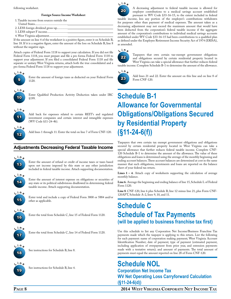#### following worksheet.

#### **Foreign Source Income Worksheet**

1. Taxable income from sources outside the

- United States........
- 2. LESS foreign dividend gross-up..............
- 3. LESS subpart F income........................... 4. West Virginia adjustment........................

If the amount on line 4 of the worksheet is a positive figure, enter it on Schedule B, line 18. If it is a negative figure, enter the amount of the loss on Schedule B, line 8 without the negative sign.

Attach copies of Federal Form 1118 to support your calculation. If you did not file Federal Form 1118, you must prepare and file a pro forma Federal Form 1118 to support your adjustment. If you filed a consolidated Federal Form 1118 and file separate or unitary West Virginia returns, attach both the true consolidated and a pro forma Federal Form 1118 to support your adjustment.



Enter the amount of foreign taxes as deducted on your Federal Form 1120.



Enter Qualified Production Activity Deduction taken under IRC §199.



Add back for expenses related to certain REIT's and regulated investment companies and certain interest and intangible expenses (WV Code §11-24-4b).



Add lines 1 through 11. Enter the total on line 7 of Form CNF-120.

#### **Adjustments Decreasing Federal Taxable Income**



Enter the amount of refund or credit of income taxes or taxes based upon net income imposed by this state or any other jurisdiction included in federal taxable income. Attach supporting documentation.



Enter the amount of interest expense on obligations or securities of any state or its political subdivisions disallowed in determining federal taxable income. Attach supporting documentation.



Enter total and include a copy of Federal Form 3800 or 5884 and/or other as applicable.



Enter the total from Schedule C, line 15 of Federal Form 1120.



Enter the total from Schedule C, line 14 of Federal Form 1120.



See instructions for Schedule B, line 8.



See instructions for Schedule B, line 4.



A decreasing adjustment to federal taxable income is allowed for employer contributions to a medical savings account established pursuant to WV Code §33-16-15, to the extent included in federal taxable income, less any portion of the employer's contributions withdrawn for purposes other than payment of medical expenses. The amount taken as a decreasing adjustment may not exceed the maximum amount that would have been deducted from the corporation's federal taxable income if the aggregate amount of the corporation's contributions to individual medical savings accounts established under WV Code §33-16-15 had been contributions to a qualified plan as defined under the Employee Retirement Income Security Act of 1974 (ERISA), as amended.





Taxpayers that own certain tax-exempt government obligations and obligations secured by certain residential property located in West Virginia can take a special allowance that further reduces federal taxable income. Complete Schedule B-1 to determine the amount of the allowance.



Add lines 21 and 22. Enter the amount on this line and on line 8 of Form CNF-120.

# **Schedule B-1 Allowance for Governmental Obligations/Obligations Secured by Residential Property (§11-24-6(f))**

Taxpayers that own certain tax exempt government obligations and obligations secured by certain residential property located in West Virginia can take a special allowance that further reduces federal taxable income. Complete CNF-120 Schedule B-1 to determine the amount of the allowance. The value of these obligations and loans is determined using the average of the monthly beginning and ending account balances. These account balances are determined at cost in the same manner that such obligations, investments and loans are reported on the balance sheet of your federal tax return.

**Lines 1 – 4.** Attach copy of worksheets supporting the calculation of average monthly balance.

**Line 6.** Average the beginning and ending balance of line 15, Schedule L of Federal Form 1120.

**Line 8**. CNF-120, line 6 plus Schedule B, line 12 minus line 21, plus Form CNF-120APT, Schedule A-2, lines 9, 10, and 11.

### **Schedule C Schedule of Tax Payments (will be applied to business franchise tax first)**

Use this schedule to list any Corporation Net Income/Business Franchise Tax payments made which the taxpayer is applying to this return. List the following for each payment: name of corporation making payment; West Virginia Account Identification Number; date of payment; type of payment (estimated payment, including application of overpayment from prior year, and extension payments made with a tentative return); and amount of payments. The total amount of payments must equal the amount reported on line 28 of Form CNF-120.

### **Schedule NOL Corporation Net Income Tax WV Net Operating Loss Carryforward Calculation (§11-24-6(d))**

**Page 8 2014 West Virginia Corporate Net Income Tax**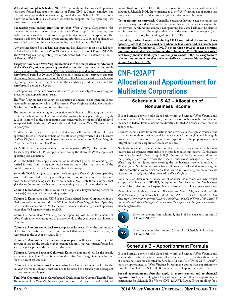**Who should complete Schedule NOL?** All corporations claiming a net operating loss carry forward deduction on line 16 of Form CNF-120 must complete this schedule to support their net operating loss deduction. Schedule NOL is not a claim for refund. It is a calculation schedule to support the net operating loss carryforward deduction.

**For taxable years ending after June 30, 1988** West Virginia Corporation Net Income Tax law was revised to provide for a West Virginia net operating loss deduction to be used to reduce West Virginia taxable income of a corporation. The revision is effective for all taxable years ending after June 30, 1988, and applied to all loss carried over from the taxable year ending on or before June 30, 1988.

Any amount claimed as a federal net operating loss deduction must be added back to federal taxable income on West Virginia Schedule B, line 6 of Form CNF-120. The West Virginia net operating loss carryforward deduction is entered on line 16 of Form CNF-120.

**Taxpayers now have a West Virginia election as to the carryback or carryforward of the West Virginia net operating loss deduction.** For losses incurred in taxable years beginning after August 5, 1997, the carryback period is two years and the carryforward period is 20 years. If the election is made to not carryback any part of the loss, the carryforward period is 20 years. For losses incurred in taxable years beginning on or before August 5, 1997, the carryback period is 3 years and the carryforward period is 15 years.

A net operating loss deduction of a multistate corporation is subject to West Virginia allocation and apportionment rules.

The West Virginia net operating loss deduction is limited to net operating losses incurred by a corporation which did business in West Virginia and filed Corporation Net Income Tax Returns in prior taxable years.

The amount of net operating loss deduction available to an affiliated group, which elects for the first time to file a consolidated return for a taxable year ending after July 1, 1988, is limited to the net operating losses incurred by members of the affiliated group which did business in West Virginia and filed separate West Virginia returns in prior years.

A West Virginia net operating loss deduction will not be allowed for net operating losses of those members of the affiliated group which did no business in West Virginia in prior taxable years and were not required to file West Virginia Corporation Net Income Tax Returns.

**SRLY RULES**. The separate return limitation years (SRLY) rules set forth in Treasury Regulation §1.1502 apply in determining the allowable West Virginia net operating loss deduction.

When the SRLY rules apply, a member of an affiliated group's net operating loss carried forward from its separate return year can only offset that portion of the taxable income attributable to that member of the group.

**Schedule NOL** is designed to support the claiming of a West Virginia net operating loss carryforward deduction by providing information on the year of the loss and how the loss was/is being used. Enter on Schedule NOL only those loss years that give rise to the current taxable year's net operating loss carryforward deduction.

**Column 1. Year of loss**. Enter in column 1 the applicable tax year ending date(s) for the year(s) that you had net operating loss(es).

**Column 2.** Enter name and FEIN of the Consolidated Parent Corporation if you filed a consolidated return prior to 2009 and had a West Virginia Net Operating Loss or enter name and FEIN of all separate members' West Virginia net operating losses that filed separately prior to 2009.

**Column 3.** Amount of West Virginia net operating loss. Enter the amount of West Virginia net operating loss that corresponds to the year of the loss shown in Column 1.

**Column 4. Amount carried back to years prior to loss year.** Enter the total amount of loss for the taxable year entered in column 1 that was carried back to a year, or years prior to the year of the actual loss.

**Column 5. Amount carried forward to years prior to this year.** Enter the total amount of loss for the taxable year entered in column 1 that was carried forward to a year, or years, prior to the current taxable year.

**Column 6. Amount being used this year.** Enter the amount of loss for the taxable year entered in column 1 that is being used to offset West Virginia taxable income for the current taxable year.

**Column 7. Remaining unused net operating loss.** Enter the amount of loss for the tax year entered in column 1 that remains to be carried to a taxable year subsequent to the current taxable year.

**Total Net Operating Loss Carryforward Deduction for Current Taxable Year.** The amount of the West Virginia net operating loss carryforward deduction claimed on line 16 of Form CNF-120 of the current year's tax return must equal the sum of column 6, Schedule NOL. In no instance may the West Virginia net operating loss carryforward deduction reduce West Virginia taxable income below zero.

**Net operating loss carryback.** Generally, a taxpayer having a net operating loss must first carry back that loss to the two preceding tax years before carrying the loss forward. A refund initiated by a net operating loss carry back must be claimed within three years from the original due date of the return for the loss year (with regard to an extension) by the filing of Form CNF-139.

**Special legislative changes made during 1993 have limited the amount of net operating loss that can be carried back when the loss is incurred in a taxable year beginning after December 31, 1992. No more then \$300,000 of net operating loss from any taxable year beginning after December 31, 1992 may be carried back to any previous taxable year. No change was made in the loss carry forward rules or the amount of loss that can be carried back from a taxable year beginning before December 31, 1992.**

# **CNF-120APT Allocation and Apportionment for Multistate Corporations**

#### **Schedule A1 & A2 – Allocation of Nonbusiness Income**

If your business activities take place both within and without West Virginia and you are also taxable in another state, certain items of nonbusiness income that are included in federal taxable income are directly allocated. All other income must be apportioned.

Business income arises from transactions and activities in the regular course of the corporation's trade or business, and include income from tangible and intangible property if the acquisition, management or disposition of the property constitutes integral parts of the corporation's trade or business.

Nonbusiness income includes all income that is not properly classified as business income less all expenses attributable to the production of this income. Nonbusiness income is allocated to West Virginia if (1) the corporation's commercial domicile, the principal place from which the trade or business is managed is located in West Virginia; or (2) property creating the nonbusiness income is utilized in West Virginia. Nonbusiness income from real property is allocated to West Virginia if the corporation's commercial domicile is located in West Virginia, or, in the case of patents or copyrights, if they are used in West Virginia.

For a detailed discussion of allocation of nonbusiness income, you may request a copy of Publication TSD-392, "Corporation Net Income Tax Nonbusiness Income", by contacting our Taxpayer Services Division or online at www.wvtax.gov.

Determine nonbusiness income allocated to West Virginia and outside West Virginia by completing Schedule A1 and A2 of Form CNF-120APT. *Only those types of nonbusiness income listed on Schedule A1 and A2 of Form CNF-120APT can be allocated. Any other types of income that the corporation classifies as nonbusiness must be apportioned.*



Enter the amount from column 3, line 8 of Schedule A-1 on line 10 of Form CNF-120.

12 **L <sup>i</sup> <sup>n</sup> <sup>e</sup>**

Enter the amount from column 3, line 12 of Schedule A-2 on line 14 of Form CNF-120.

#### **Schedule B – Apportionment Formula**

If your business activities take place both within and without West Virginia and you are also taxable in another state, all net income, after deducting those items of nonbusiness income allocated on Schedule A1 and A2 of Form CNF-120APT must be apportioned to West Virginia by using the appropriate apportionment formula. Completion of Schedule B is required even if apportionment is zero.

**Special apportionment formulas apply to motor carriers and to financial organizations.** If you are filing for a financial organization, follow the apportionment instructions for Schedule B of Form CNF-120APT, Part 3. If you are filing for a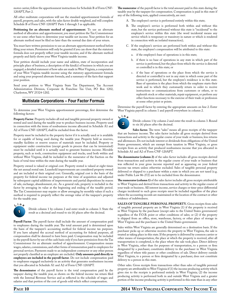motor carrier, follow the apportionment instructions for Schedule B of Form CNF-120APT, Part 2.

All other multistate corporations will use the standard apportionment formula of payroll, property, and sales, with the sales factor double weighted, and will complete Schedule B of Form CNF-120APT Parts 1 through 3 as applicable.

**Petitioning for an alternate method of apportionment**. To use an alternate method of allocation and apportionment, you must petition the Tax Commissioner to use some other basis to determine your taxable net income. Your petition for an alternate method must be filed no later than the normal due date of your return.

You must have written permission to use an alternate apportionment method before filing your return. Permission will only be granted if you can show that the statutory formula does not properly reflect your taxable income, and if the alternate method properly and fairly shows your West Virginia taxable income.

Your petition should include your name and address, state of incorporation and principle place of business, a description of the kind(s) of business in which you are engaged, a detailed statement of how sales are made in West Virginia, a computation of your West Virginia taxable income using the statutory apportionment formula and using your proposed alternate formula, and a summary of the facts that support your position.

Send your petition to West Virginia State Tax Department, Tax Account Administration Division, Corporate & Franchise Tax Unit, PO Box 1202, Charleston, WV 25324-1202.

#### **Multistate Corporations – Four Factor Formula**

To determine your West Virginia apportionment percentage, first determine the following factors:

**Property Factor**. Property includes all real and tangible personal property owned or rented and used during the taxable year to produce business income. Property used in connection with the items of nonbusiness income allocated in Schedule A1 and A2 of Form CNF-120APT, shall be excluded from the factor.

Property must be included in the property factor if it is actually used or is available for or capable of being used during the taxable year. Property held as reserves, standby facilities or reserve sources of materials must be included. Property or equipment under construction (except goods in process that can be inventoried) must be excluded until it is actually used to generate business income. Movable property, such as tools, construction equipment and trucks, used both within and without West Virginia, shall be included in the numerator of the fraction on the basis of total time within the state during the taxable year.

Property owned is valued at original cost. Property rented is valued at eight times the net annual rental rate. Leasehold improvements are considered property owned and are included at their original cost. Generally, original cost is the basis of the property for federal income tax purposes at the time of acquisition and adjusted by subsequent capital additions of improvements and partial dispositions by reason of sale, exchange, abandonment, etc. As a general rule, property is included in the factor by averaging its value at the beginning and ending of the taxable period. The Tax Commissioner may require or allow averaging by monthly values if such a method is required to properly reflect the average value of the taxpayer's property for the taxable year.



Divide column 1 by column 2 and enter result in column 3. State the result as a decimal and round to six (6) places after the decimal.

**Payroll Factor**. The payroll factor shall include the amount of compensation paid to employees during the taxable year. The total amount paid is determined upon the basis of the taxpayer's accounting method for federal income tax purposes. If you have adopted the accrual method of accounting for federal purposes, all compensation shall be deemed to have been paid. Compensation may be included in the payroll factor by use of the cash basis only if you have permission from the Tax Commissioner for an alternate method of apportionment. Compensation means wages, salaries, commissions, and other forms of remuneration paid to employees for personal services. Payments made to an independent contractor or any other person not properly classified as an employee are excluded. **Only amounts paid directly to employees are included in the payroll factor**. Do not include compensation paid to employees engaged exclusively in an activity that generates nonbusiness income that you allocated in Schedule A1 and A2 of Form CNF-120APT.

**The denominator** of the payroll factor is the total compensation paid by the taxpayer during the taxable year, as shown on the federal income tax return filed with the Internal Revenue Service and as reflected in the schedule of wages and salaries and that portion of the cost of goods sold which reflect compensation.

**The numerator** of the payroll factor is the total amount paid in this state during the taxable year by the taxpayer for compensation. Compensation is paid in this state if any of the following tests, applied consecutively, are met:

- A. The employee's service is performed entirely within this state;
- B. The employee's service is performed both within and without this state, but the service performed without this state is "incidental" to the employee's service within this state (the word incidental means any service which is temporary or transitory in nature or which is rendered in connection with an isolated transaction);
- C. If the employee's services are performed both within and without this state, the employee's compensation will be attributed to this state:
	- a. if the employee's base of operations is in this state;
	- b. if there is no base of operations in any state in which part of the service is performed, but the place from which the service is directed or controlled is in this state; or
	- c. if the base of operations or the place from which the service is directed or controlled is not in any state in which some part of the service is performed, but the employee's residence is in this state. Base of operation is the place from which the employee starts their work and to which they customarily return in order to receive instructions or communications from customers or others, or to replenish stock or other materials, repair equipment, or perform any other functions necessary to the exercise of their trade or profession at some other point or points.

Determine the payroll factor by entering the appropriate amounts on line 2. Enter West Virginia payroll in column 1 and payroll everywhere in column 2.



Divide column 1 by column 2 and enter the result in column 3. Round to six (6) places after the decimal.

**Sales factor.** The term "sales" means all gross receipts of the taxpayer that are business income. The sales factor includes all gross receipts derived from transactions and activity in the regular course of your trade or business, less returns and allowances. Do not include interest or dividends from obligations of the United States government, which are exempt from taxation in West Virginia, or gross receipts from an activity that produced nonbusiness income that you allocated in Schedule A1 and A2 of Form CNF-120APT.

**The denominator (column 2)** of the sales factor includes all gross receipts derived from transactions and activity in the regular course of your trade or business that was reflected in your gross income reported and as appearing on your federal income tax return unless otherwise excluded. Sales of tangible personal property delivered or shipped to a purchaser within a state in which you are not taxed (e.g. under Public Law 86-272) are to be excluded from the denominator.

**The numerator (column 1)** of the sales factor includes all gross receipts attributable to West Virginia and derived from transactions and activity in the regular course of your trade or business. All interest income, service charges or time-price differential charges incidental to such gross receipts must be included regardless of the place where the accounting records are maintained or the location of the contract or other evidence of indebtedness.

**Sales of tangible personal property.** Gross receipts from sales of tangible personal property are in West Virginia (1) if the property is received in West Virginia by the purchaser (except sales to the United States government) regardless of the F.O.B. point or other conditions of sales; or (2) if the property is shipped from an office, store, warehouse, factory, or other place of storage in West Virginia and the purchaser is the United States government.

Sales within West Virginia are generally determined on a destination basis. If the purchaser picks up or otherwise receives the property in West Virginia, the sale is treated as taking place in this state. If the property is delivered by common carrier or other means of transportation, the place at which the property is received, after all transportation is completed, is the place where the sale took place. Direct delivery in West Virginia, other than for purposes of transportation, to a person or firm designated by a purchaser, constitutes delivery to the purchaser in West Virginia regardless of where title passes or other conditions of sale. Direct delivery outside West Virginia, to a person or firm designated by a purchaser, does not constitute delivery to a person in this state.

Other sales. Gross receipts from transactions other than sales of tangible personal property are attributable to West Virginia if (1) the income producing activity which gives rise to the receipts is performed entirely in West Virginia; (2) the income producing activity is performed both in and outside West Virginia and a greater portion of the income producing activity is performed in this state than in any other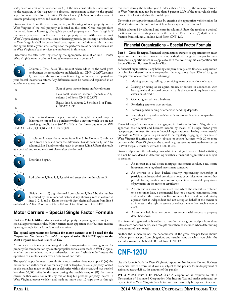state, based on cost of performance; or (3) if the sale constitutes business income to the taxpayer, or the taxpayer is a financial organization subject to the special apportionment rules. Refer to West Virginia Code §11-24-7 for a discussion of income producing activity and cost of performance.

Gross receipts from the sale, lease, rental, or licensing of real property are in West Virginia if the real property is located in this state. Gross receipts from the rental, lease or licensing of tangible personal property are in West Virginia if the property is located in this state. If such property is both within and without West Virginia during the rental, lease or licensing period, gross receipts attributable to West Virginia shall be determined based upon the total time within the state during the taxable year. Gross receipts for the performance of personal services are in West Virginia if such services are performed in this state.

Determine the sales factor by entering the appropriate amount on line 3. Enter West Virginia sales in column 1 and sales everywhere in column 2.



Column 2. Total Sales. This amount when added to the total gross nonbusiness income as shown on Schedule A1, CNF-120APT, column 1, must equal the sum of your items of gross income as reported on your federal income tax return. Any differences must be noted and explained in an attachment to your return.

| Sum of gross income items on federal return                               |  |
|---------------------------------------------------------------------------|--|
| Less total allocated income (Schedule A1,<br>column 1 of Form CNF-120APT) |  |
| Equals line 3, column 2, Schedule B of Form<br>CNF-120APT                 |  |

4 **L <sup>i</sup> <sup>n</sup> <sup>e</sup>**

delivered or shipped to a purchaser within a state in which you are not taxed (e.g. Public Law 86-272). This is the throw out rule per WV Code §11-24-7(e)(11)(B) and §11-23-5(l)(2).



In column 1, enter the amount from line 3. In Column 2, subtract line 4 from line 3 and enter the difference. Divide column 1, line 5 by column 2, line 5 and enter the result in column 3, line 5. State the result as a decimal and round to six (6) places after the decimal.

Enter the total gross receipts from sales of tangible personal property



Enter line 5 again.



8

Add column 3, lines 1, 2, 5, and 6 and enter the sum in column 3.

Divide the six (6) digit decimal from column 3, line 7 by the number 4, reduced by the number of factors, if any, showing zero in column 2, lines 1, 2, 5, and 6. Enter the six (6) digit decimal fraction from line 8 on Schedule A line 11 of Form CNF-120 and Line 12 of Form CNF-120.

#### **Motor Carriers – Special Single Factor Formula**

**Part 2 – Vehicle Miles**. Motor carriers of property or passengers are subject to special apportionment rules. Motor carriers must apportion their business income by using a single factor formula of vehicle miles.

#### **The special apportionment formula for motor carriers is to be used for the**  *Corporation Net Income Tax only!* **The special rules DO NOT apply to the West Virginia Business Franchise Tax.**

A motor carrier is any person engaged in the transportation of passengers and/or property for compensation by a motor propelled vehicle over roads in West Virginia, whether on a scheduled route or otherwise. The term "vehicle miles" means the operation of a motor carrier over a distance of one mile.

The special apportionment formula for motor carriers does not apply if (A) the motor carrier neither owns nor rents any real or tangible personal property located in this state, has made no pick ups or deliveries within this state, and has traveled less than 50,000 miles in this state during the taxable year; or (B) the motor carrier neither owns nor rents any real or tangible personal property located in West Virginia, except vehicles, and made no more than 12 trips into or through

this state during the taxable year. Under either (A) or (B), the mileage traveled in West Virginia may not be more than 5 percent (.05) of the total vehicle miles traveled in all states during the taxable year.

Determine the apportionment factor by entering the appropriate vehicle miles for West Virginia in column 1 and vehicle miles everywhere in column 2.

Divide column 1 by column 2 and enter in column 3. State the result as a decimal fraction and round to six places after the decimal. Enter the six (6) digit decimal fraction from column 3 on line 12 of Form CNF-120.

#### **Financial Organizations – Special Factor Formula**

Part 3 – Gross Receipts. Financial organizations subject to apportionment must apportion their business income by using a single factor gross receipts formula. This special apportionment rule applies to both the West Virginia Corporation Net Income Tax and Business Franchise Tax.

A financial organization is any holding company or regulated financial corporation or subsidiary thereof, or any corporation deriving more than 50% of its gross receipts from one or more of the following:

- 1. Making, acquiring, selling, or servicing loans or extensions of credit.
- 2. Leasing or acting as an agent, broker, or advisor in connection with leasing real and personal property that is the economic equivalent of an extension of credit.
- 3. Operating a credit card business.
- 4. Rendering estate or trust services.
- 5. Receiving, maintaining or otherwise handling deposits.
- 6. Engaging in any other activity with an economic effect comparable to any of the above.

Financial organizations regularly engaging in business in West Virginia shall apportion their capital and business income by means of a single factor gross receipts apportionment formula. A financial organization not having its commercial domicile in West Virginia is presumed to be regularly engaging in business in West Virginia if during any year it obtains or solicits business with 20 or more persons within West Virginia, or the sum of its gross receipts attributable to sources in West Virginia equals or exceeds \$100,000.00.

Gross receipts from the following ownership interest (and certain related activities) will not be considered in determining whether a financial organization is subject to taxation:

- 1. An interest in a real estate mortgage investment conduit, a real estate investment or a regulated investment company.
- 2. An interest in a loan backed security representing ownership or participation in a pool of promissory notes or certificates or interest that provide for payments in relation to payments or reasonable projections of payments on the notes or certificates.
- 3. An interest in a loan or other asset from which the interest is attributed to a consumer loan, a commercial loan or a secured commercial loan, and in which the payment obligation was solicited and entered into by a person that is independent and not acting on behalf of the owner; or an interest in the right to service or collect income from such a loan or asset.
- 4. An amount held in an escrow or trust account with respect to property described above.

If a financial organization is subject to taxation when gross receipts from these interests are not considered, such receipts must then be included when determining the amount of taxes owed.

Neither the numerator nor the denominator of the gross receipts factor should include gross receipts from obligations and certain loans on which you claim the special allowance in Schedule B-1 of Form CNF-120.

# **CNF-120U**

Use this form for both the West Virginia Corporation Net Income Tax and Business Franchise Tax to determine if you are subject to the penalty for underpayment of estimated tax and, if so, the amount of the penalty.

**Who must pay the penalty?** A corporation is required to file a Declaration of Estimated Corporation Net Income Tax and make estimated tax payments if its West Virginia taxable income can reasonably be expected to exceed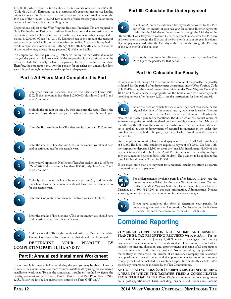\$10,000.00, which equals a tax liability after tax credits of more than \$650.00 (Code §11-24-16). Estimated tax is a corporation's expected income tax liability minus its tax credits. A taxpayer is required to remit, in equal installments on the 15th day of the 4th, 6th, 9th, and 12th months of their taxable year, at least ninety percent (.9) of the tax due for the filing period.

Corporations subject to the West Virginia Business Franchise Tax are required to file a Declaration of Estimated Business Franchise Tax and make estimated tax payments if their liability for tax for the taxable year can reasonably be expected to exceed \$12,000.00 (Code §11-23-13). Estimated tax is the amount the taxpayer estimates to be their liability, minus allowable tax credits. A taxpayer is required to remit, in equal installments on the 15th day of the 4th, 6th, 9th, and 12th months of their taxable year, at least ninety percent (.9) of the tax liability.

If a corporation did not pay enough estimated tax by the due dates, it may be charged the penalty. This is true even if the corporation is due a refund when its return is filed. The penalty is figured separately for each installment due date. Therefore, the corporation may owe the penalty for an earlier installment due date, even if it paid enough tax later to make up the underpayment.

#### **Part I: All Filers Must Complete this Part**



**L <sup>i</sup> <sup>n</sup> <sup>e</sup>** Multiply the amount on line 1 by 90% and enter the result. This is the amount that you should have paid in estimated tax for this taxable year.



2

Enter the Business Franchise Tax after credits from your 2013 return.



Enter the smaller of line 2 or line 3. This is the amount you should have paid in estimated tax for this taxable year.



Enter your Corporation Net Income Tax after credits (line 23 of Form CNF-120). If this amount is less than \$650.00, skip lines 6 and 7 and enter 0 on line 8.



Multiply the amount on line 5 by ninety percent (.9) and enter the result here. This is the amount you should have paid in estimated tax for this taxable year.



Enter the Corporation Net Income Tax from your 2013 return.



 $\boldsymbol{\Theta}$ **L <sup>i</sup> <sup>n</sup> <sup>e</sup>** Enter the smaller of line 6 or line 7. This is the amount you should have paid in estimated tax for this taxable year.

Add lines 4 and 8. This is the combined estimated Business Franchise Tax and Corporation Net Income Tax that should have been paid.

**Determine your penalty by completing part II, III, and IV.**

#### **Part II: Annualized Installment Worksheet**

If your taxable income/capital varied during the year, you may be able to lower or eliminate the amount of one or more required installments by using the annualized installment worksheet. To use the annualized installment method to figure the penalty, you must complete Part I, Part II, Part III, and Part IV of Form CNF-120U. Follow the line by line instructions entered on Form CNF-120U.

#### **Part III: Calculate the Underpayment**

**L <sup>i</sup> <sup>n</sup> <sup>e</sup>**



In column A, enter the estimated tax payments deposited by the 15th day of the 4th month of your tax year. In column B, enter payments made after the 15th day of the 4th month through the 15th day of the 6th month of your tax year. In column C, enter payments made after the 15th day of the 6th month through the 15th day of the 9th month of your tax year. In column D, enter payments made after the 15th day of the 9th month through the 15th day



of the 12th month of the tax year.

If any of the columns in line 50 shows an underpayment, complete Part IV to figure the penalty for that period.

### **Part IV: Calculate the Penalty**

Complete lines 52 through 63 to determine the amount of the penalty. The penalty is figured for the period of underpayment determined under West Virginia Code §11-10-18a using the rate of interest determined under West Virginia Code §11-10-17 or 17a, whichever is appropriate for the taxable year. For underpayments involving periods after January 1, 2014, see the instructions for lines 60 and 61.



Enter the date on which the installment payment was made or the original due date of the annual return, whichever is earlier. The due date of the return is the 15th day of the 3rd month following the

close of the taxable year for corporations. The due date of the annual return of an exempt organization with unrelated business taxable income is the 15th day of the 5th month following the close of the taxable year. The payment of estimated tax is applied against underpayments of required installments in the order that installments are required to be paid, regardless of which installment the payment pertains to.

For example, a corporation has an underpayment for the April 15th installment of \$1,000. The June 15th installment requires a payment of \$2,500. On June 10th, the corporation deposits \$2,500 to cover the June 15th installment. \$1,000 of this payment is considered to be for the April 15th installment. The penalty for April 15th installment is figured to June 10th (56 days). The payment to be applied to the June 15th installment will then be \$1,500.

If you made more than one payment for a required installment, attach a separate computation for each payment.

#### **L <sup>i</sup> <sup>n</sup> <sup>e</sup>**



For underpayments involving periods after January 1, 2014, use the interest rate established by the State Tax Commissioner. You can contact the West Virginia State Tax Department, Taxpayer Services Division, at 1-800-982-8297 to get rate information. Administrative Notices adjusting interest rates may also be found online at www.wvtax.gov.

#### **L <sup>i</sup> <sup>n</sup> <sup>e</sup>**



If you have completed this form to determine your penalty for underpaying your estimated Corporation Net Income and/or Business Franchise Tax, enter the amount on Form CNF-120, line 37.

# **Combined Reporting**

**Combined corporation net income and business franchise tax reporting required (§11-24-13a(j)).** For tax years beginning on or after January 1, 2009, any taxpayer engaged in a unitary business with one or more other corporations shall file a combined report which includes the income, allocation, and apportionment of income of all corporations that are members of the unitary business. Notwithstanding any provision to the contrary in this article, the income of an insurance company, the allocation or apportionment related thereto and the apportionment factors of an insurance company shall not be included in a combined report filed under this article unless specifically required to be included by the Tax Commissioner.

**Net operating loss (NOL) carryovers earned during a year in which the taxpayer filed a consolidated** TAX RETURN (§11-24-13c). West Virginia computes net operating losses on a post-apportionment basis, including business and nonbusiness income

### **Page 12 2014 West Virginia Corporate Net Income Tax**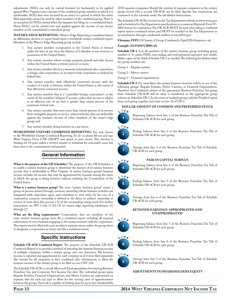adjustments. NOL's can only be carried forward (or backwards) to be applied against West Virginia source income of the combined group members to which it is attributable. NOL's that were incurred by an entity in a period in which the entity filed separately, cannot be used by other members of the combined group. There is an exception for NOL's earned when the taxpayer was filing on a consolidated basis. Those NOL's can be carried over and applied against the income of any former member of the consolidated (controlled) group.

WATER'S-EDGE REPORTING. Water's-Edge Reporting is mandated absent an affirmative election to report based upon a worldwide unitary combined report. Members of the Water's-Edge Reporting group include:

- 1. Any unitary member incorporated in the United States or formed under the laws of any state, the District of Columbia or any territory or possession of the United States;
- 2. Any unitary member whose average property, payroll and sales factors within the United States is twenty percent or more;
- 3. Any unitary member which is a domestic international sales corporation, a foreign sales corporation, or an export trade corporation as defined by federal law;
- 4. Any unitary member with effectively connected income with the conduct of a trade or business within the United States to the extent of that effectively connected income;
- 5. Any unitary member that is a "controlled foreign corporation", to the extent of the members' Subpart F income, unless that income is subject to an effective rate of tax that is greater than ninety percent of the maximum federal rate;
- 6. Any unitary member that earns more than twenty percent of its income from intangible property or service-related activities that are deductible against the business income of other members of the water's-edge group; and
- 7. Any unitary member doing business in a tax haven.

**Worldwide Unitary Combined Reporting:** You may choose to file Worldwide Unitary Combined Reporting. To do so, please fill out and sign West Virginia Form CNF-120OPT and attach to your return. This election is binding for 10 years unless a written request to withdraw for reasonable cause has been sent to the commissioner and granted.

#### **General Information**

**What is the purpose of the UB Schedules?** The purpose of the UB Schedules is to enable a unitary business group to determine the amount of its unitary business income that is attributable to West Virginia. A unitary business group's business income includes all income that may be apportioned by formula among the states in which the group is doing business without violating the Constitution of the United States.

**What is a unitary business group?** The term "unitary business group" means a group of persons related through common ownership whose business activities are integrated with, dependent upon, and contribute to each other. In the case of a corporation, common ownership is defined as the direct or indirect ownership or control of more then fifty percent (.5) of the outstanding voting stock. For further instructions see WV Code 11-24-13f (a) waters-edge reporting-subdivision (1) through (7).

**What are the filing requirements?** Corporations that are members of the same unitary business group must file a combined report including all required information of every business engaging in the unitary business with the corporation. This report must be filed with each member's separate return unless the group elects to designate a corporation as surety and file a combined return.

#### **Specific Instructions**

**Schedule UB-4CR Combined Report.** The purpose of the Schedule UB-4CR Combined Report is to provide a method of reporting the separate business income of multiple companies within a unitary group onto one statement. The business income is reported and apportioned for each company as if it were filed separately. The income for all companies is then combined, after eliminations, to allow the business income of the unitary group to be filed on one CNF-120.

The Schedule UB-4CR is a six tab Microsoft Excel spreadsheet for entering Business Franchise Tax and Corporate Net Income Tax data. The individual group types, Regular Entities, Financial Organizations, and Motor Carriers are represented on separate tabs for each tax type to allow for the varying rates of apportionment between the groups. Each tab is capable of holding data for up to two-hundred fifty

(250) separate companies. Should the number of separate companies in the unitary group exceed 250; a second UB-4CR can be filed. Specific line instructions are contained on the schedule under the tab labeled Instructions.

The Schedule UB-4CR is located on the Tax Department website at www.wvtax.gov and is formatted to Tax Department specifications in a common Microsoft Excel 97- 2003 format for consistency. The UB-4CR MUST be used when filing a combined report and/or combined return and MUST be emailed to the Tax Department as an attachment through a dedicated mailbox at taxcit@wv.gov.

**Filename: FEIN** (Of Surety, if Group Combined)+Type(CR)+Sequence+.xls

#### **Example: 251234567CR001.xls**

**Schedule UB-1**. List all members of the unitary business group including group number (1-3), name, FEIN, year ending, and total payments and prior year credits. Make copies of the blank Schedule UB-1 as needed. The following list defines what the group numbers are:

Group 1 – Regular entities

Group 2 – Motor carriers

Group 3 – Financial organizations

**Schedule UB-2**. For most filers, the unitary business structure will be in one of the following groups: Regular Entities, Motor Carriers, or Financial Organizations. Therefore the Combined column of the appropriate Business Franchise Tax group from Schedule UB-4CR will be what is transferred to the appropriate group column on Schedule UB-2. In the event of multiple groups, add the Taxable Capital from each group together and enter on line 22 of UB-2.

#### **Dollar amount of common and preferred stock**



 $\overline{\mathbf{z}}$ **L <sup>i</sup> <sup>n</sup> <sup>e</sup>**

3 **L <sup>i</sup> <sup>n</sup> <sup>e</sup>**

4 **L <sup>i</sup> <sup>n</sup> <sup>e</sup>** Beginning balance from line 1 of the Business Franchise Tax Tab of Schedule UB-4CR for each group.

Ending balance from line 2 of the Business Franchise Tax Tab of Schedule UB-4CR for each group.

Average from line 3 of the Business Franchise Tax Tab of Schedule UB-4CR for each group.

#### **Paid in capital surplus**

Beginning balance from line 4 of the Business Franchise Tax Tab of Schedule UB-4CR for each group.

Ending balance from line 5 of the Business Franchise Tax Tab of Schedule UB-4CR for each group.



6

5 **L <sup>i</sup> <sup>n</sup> <sup>e</sup>**

> Average from line 6 of the Business Franchise Tax Tab of Schedule UB-4CR for each group.

#### **Retained earnings-appropriated and unappropriated**



Beginning balance from line 7 of the Business Franchise Tax Tab of Schedule UB-4CR for each group.

#### **L <sup>i</sup> <sup>n</sup> <sup>e</sup>**





8

Average from line 9 of the Business Franchise Tax Tab of Schedule UB-4CR for each group.

#### **Adjustments to shareholders equity**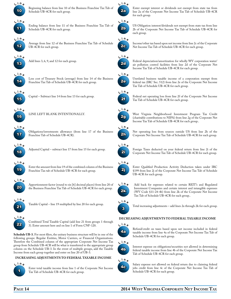

Beginning balance from line 10 of the Business Franchise Tax Tab of Schedule UB-4CR for each group.

Ending balance from line 11 of the Business Franchise Tax Tab of





Average from line 12 of the Business Franchise Tax Tab of Schedule UB-4CR for each group.



Add lines 3, 6, 9, and 12 for each group.

Schedule UB-4CR for each group.



Less cost of Treasury Stock (average) from line 14 of the Business Franchise Tax Tab of Schedule UB-4CR for each group.



Capital – Subtract line 14 from line 13 for each group.



Line left blank intentionally.



Obligations/investments allowance (from line 17 of the Business Franchise Tab of Schedule UB-4CR).



Adjusted Capital – subtract line 17 from line 15 for each group.



Enter the amount from line 19 of the combined column of the Business Franchise Tax tab of Schedule UB-4CR for each group.



Apportionment factor (round to six [6] decimal places) from line 20 of the Business Franchise Tax Tab of Schedule UB-4CR for each group.



Taxable Capital – line 19 multiplied by line 20 for each group.

22 **L <sup>i</sup> <sup>n</sup> <sup>e</sup>**

Combined Total Taxable Capital (add line 21 from groups 1 through 3). Enter amount here and on line 1 of Form CNF-120.

**Schedule UB-3.** For most filers, the unitary business structure will be in one of the following groups: Regular Entities, Motor Carriers, or Financial Organizations. Therefore the Combined column of the appropriate Corporate Net Income Tax group from Schedule UB-4CR will be what is transferred to the appropriate group column on the Schedule UB-3. In the event of multiple groups, add the Taxable Income from each group together and enter on line 20 of UB-3.

#### **Increasing adjustments to Federal Taxable Income**



Enter total taxable income from line 1 of the Corporate Net Income Tax Tab of Schedule UB-4CR for each group.



Enter exempt interest or dividends not exempt from state tax from line 2a of the Corporate Net Income Tax Tab of Schedule UB-4CR for each group.



US Obligation interest/dividends not exempt from state tax from line 2b of the Corporate Net Income Tax Tab of Schedule UB-4CR for each group.



Income/other tax based upon net income from line 2c of the Corporate Net Income Tax Tab of Schedule UB-4CR for each group.



Federal depreciation/amortization for wholly WV corporation water/ air pollution control facilities from line 2d of the Corporate Net Income Tax Tab of Schedule UB-4CR for each group.



Unrelated business taxable income of a corporation exempt from federal tax (IRC Sec. 512) from line 2e of the Corporate Net Income Tax Tab of Schedule UB-4CR for each group.



Federal net operating loss from line 2f of the Corporate Net Income Tax Tab of Schedule UB-4CR for each group.

### **L <sup>i</sup> <sup>n</sup> <sup>e</sup>**



West Virginia Neighborhood Investment Program Tax Credit (charitable contributions to NIPA) from line 2g of the Corporate Net Income Tax Tab of Schedule UB-4CR for each group..



Net operating loss from sources outside US from line 2h of the Corporate Net Income Tax Tab of Schedule UB-4CR for each group.



Foreign Taxes deducted on your federal return from line 2i of the Corporate Net Income Tax Tab of Schedule UB-4CR for each group.



Enter Qualified Production Activity Deduction taken under IRC §199 from line 2j of the Corporate Net Income Tax Tab of Schedule UB-4CR for each group.



Add back for expenses related to certain REIT's and Regulated Investment Companies and certain interest and intangible expenses (WV Code §11-24-4b) from line 2k of the Corporate Net Income Tax Tab of Schedule UB-4CR for each group..



Total increasing adjustments – add lines 2a through 2k for each group.

#### **Decreasing adjustments to federal taxable income**



Refund/credit on taxes based upon net income included in federal taxable income from line 4a of the Corporate Net Income Tax Tab of Schedule UB-4CR for each group.



Interest expense on obligations/securities not allowed in determining federal taxable income from line 4b of the Corporate Net Income Tax Tab of Schedule UB-4CR for each group.





Salary expense not allowed on federal return due to claiming federal jobs credit from line 4c of the Corporate Net Income Tax Tab of Schedule UB-4CR for each group.



**L <sup>i</sup> <sup>n</sup> <sup>e</sup>**

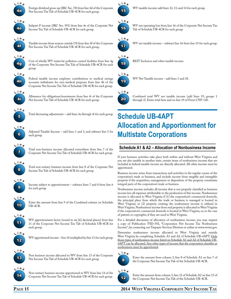

Foreign dividend gross-up (IRC Sec. 78) from line 4d of the Corporate Net Income Tax Tab of Schedule UB-4CR for each group.



Subpart F income (IRC Sec. 951) from line 4e of the Corporate Net

Income Tax Tab of Schedule UB-4CR for each group.



Taxable income from sources outside US from line 4f of the Corporate Net Income Tax Tab of Schedule UB-4CR for each group..



Cost of wholly WV water/air pollution control facilities from line 4g of the Corporate Net Income Tax Tab of Schedule UB-4CR for each group.



Federal taxable income employer contributions to medical savings accounts withdrawn for non-medical purposes from line 4h of the Corporate Net Income Tax Tab of Schedule UB-4CR for each group.



Allowance for obligations/investments from line 4i of the Corporate Net Income Tax Tab of Schedule UB-4CR for each group.



Total decreasing adjustments – add lines 4a through 4i for each group.



Adjusted Taxable Income – add lines 1 and 3, and subtract line 5 for each group.



Total non-business income allocated everywhere from line 7 of the Corporate Net Income Tax Tab of Schedule UB-4CR for each group.



Total non-unitary business income from line 8 of the Corporate Net Income Tax Tab of Schedule UB-4CR for each group.

![](_page_14_Picture_20.jpeg)

Income subject to apportionment – subtract lines 7 and 8 from line 6 for each group.

![](_page_14_Picture_22.jpeg)

Enter the amount from line 9 of the Combined column on Schedule UB-4CR.

![](_page_14_Picture_24.jpeg)

WV apportionment factor (round to six [6] decimal places) from line 11 of the Corporate Net Income Tax Tab of Schedule UB-4CR for each group.

![](_page_14_Picture_26.jpeg)

WV apportioned income – line 10 multiplied by line 11 for each group.

![](_page_14_Picture_28.jpeg)

Non business income allocated to WV from line 13 of the Corporate Net Income Tax Tab of Schedule UB-4CR for each group.

![](_page_14_Picture_30.jpeg)

Non-unitary business income apportioned to WV from line 14 of the Corporate Net Income Tax Tab of Schedule UB-4CR for each group.

![](_page_14_Figure_32.jpeg)

WV taxable income-add lines 12, 13, and 14 for each group.

![](_page_14_Picture_34.jpeg)

WV net operating loss from line 16 of the Corporate Net Income Tax Tab of Schedule UB-4CR for each group.

![](_page_14_Picture_36.jpeg)

WV net taxable income – subtract line 16 from line 15 for each group.

![](_page_14_Picture_38.jpeg)

REIT Inclusion and other taxable income.

![](_page_14_Figure_40.jpeg)

WV Net Taxable income – add lines 1 and 18.

20 **L <sup>i</sup> <sup>n</sup> <sup>e</sup>**

Combined total WV net taxable income (add lines 19, groups 1 through 3). Enter total here and on line 19 of Form CNF-120.

# **Schedule UB-4APT Allocation and Apportionment for Multistate Corporations**

### **Schedule A1 & A2 – Allocation of Nonbusiness Income**

If your business activities take place both within and without West Virginia and you are also taxable in another state, certain items of nonbusiness income that are included in federal taxable income are directly allocated. All other income must be apportioned.

Business income arises from transactions and activities in the regular course of the corporation's trade or business, and include income from tangible and intangible property if the acquisition, management or disposition of the property constitutes integral parts of the corporation's trade or business.

Nonbusiness income includes all income that is not properly classified as business income less all expenses attributable to the production of this income. Nonbusiness income is allocated to West Virginia if (1) the corporation's commercial domicile, the principal place from which the trade or business is managed is located in West Virginia; or (2) property creating the nonbusiness income is utilized in West Virginia. Nonbusiness income from real property is allocated to West Virginia if the corporation's commercial domicile is located in West Virginia, or, in the case of patents or copyrights, if they are used in West Virginia.

For a detailed discussion of allocation of nonbusiness income, you may request a copy of Publication TSD-392, "Corporation Net Income Tax Nonbusiness Income", by contacting our Taxpayer Services Division or online at www.wvtax.gov.

Determine nonbusiness income allocated to West Virginia and outside West Virginia by completing Schedule A1 and A2 of Schedule UB-4APT. Only those types of nonbusiness income listed on Schedule A1 and A2 of Schedule UB-4APT can be allocated. Any other types of income that the corporation classifies as nonbusiness must be apportioned.

#### **L <sup>i</sup> <sup>n</sup> <sup>e</sup>**

![](_page_14_Picture_52.jpeg)

Enter the amount from column 3, line 8 of Schedule A1 on line 7 of the Corporate Net Income Tax Tab of the Schedule UB-4CR.

![](_page_14_Picture_54.jpeg)

Enter the amount from column 3, line 12 of Schedule A2 on line 13 of the Corporate Net Income Tax Tab of the Schedule UB-4CR.

#### **Page 15 2014 West Virginia Corporate Net Income Tax**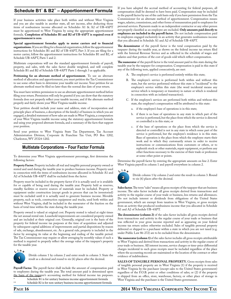### **Schedule B1\* & B2\*\* – Apportionment Formula**

If your business activities take place both within and without West Virginia and you are also taxable in another state, all net income, after deducting those items of nonbusiness income allocated on Schedules A1 & A2 of UB-4APT must be apportioned to West Virginia by using the appropriate apportionment formula. **Completion of Schedules B1 and B2 of UB-4APT is required even if apportionment is zero**.

**Special apportionment formulas apply to motor carriers and to financial organizations.** If you are filing for a financial organization, follow the apportionment instructions for Schedules B1 and B2 of UB-4APT, Part 3. If you are filing for a motor carrier, follow the apportionment instructions for Schedules B1 and B2, of Schedule UB-4APT, Parts 1 and 2.

Multistate corporations will use the standard apportionment formula of payroll, property, and sales, with the sales factor double weighted, and will complete Schedule B1 and B2 of Schedule UB-4APT Parts 1 through 3 as applicable.

**Petitioning for an alternate method of apportionment.** To use an alternate method of allocation and apportionment, you must petition the Tax Commissioner to use some other basis to determine your taxable net income. Your petition for an alternate method must be filed no later than the normal due date of your return.

You must have written permission to use an alternate apportionment method before filing your return. Permission will only be granted if you can show that the statutory formula does not properly reflect your taxable income, and if the alternate method properly and fairly shows your West Virginia taxable income.

Your petition should include your name and address, state of incorporation and principle place of business, a description of the kind(s) of business in which you are engaged, a detailed statement of how sales are made in West Virginia, a computation of your West Virginia taxable income using the statutory apportionment formula and using your proposed alternate formula, and a summary of the facts that support your position.

Send your petition to West Virginia State Tax Department, Tax Account Administration Division, Corporate & Franchise Tax Unit, PO Box 1202, Charleston, WV 25324-1202.

#### **Multistate Corporations – Four Factor Formula**

To determine your West Virginia apportionment percentage, first determine the following factors:

**Property Factor.** Property includes all real and tangible personal property owned or rented and used during the taxable year to produce business income. Property used in connection with the items of nonbusiness income allocated in Schedule A1 and A2 of Schedule UB-4APT shall be excluded from the factor.

Property must be included in the property factor if it is actually used or is available for or capable of being used during the taxable year. Property held as reserves, standby facilities or reserve sources of materials must be included. Property or equipment under construction (except goods in process that can be inventoried) must be excluded until it is actually used to generate business income. Movable property, such as tools, construction equipment and trucks, used both within and without West Virginia, shall be included in the numerator of the fraction on the basis of total time within the state during the taxable year.

Property owned is valued at original cost. Property rented is valued at eight times the net annual rental rate. Leasehold improvements are considered property owned and are included at their original cost. Generally, original cost is the basis of the property for federal income tax purposes at the time of acquisition and adjusted by subsequent capital additions of improvements and partial dispositions by reason of sale, exchange, abandonment, etc. As a general rule, property is included in the factor by averaging its value at the beginning and ending of the taxable period. The Tax Commissioner may require or allow averaging by monthly values if such a method is required to properly reflect the average value of the taxpayer's property for the taxable year.

![](_page_15_Picture_13.jpeg)

Divide column 1 by column 2 and enter result in column 3. State the result as a decimal and round to six (6) places after the decimal.

**Payroll Factor.** The payroll factor shall include the amount of compensation paid to employees during the taxable year. The total amount paid is determined upon the basis of the taxpayer's accounting method for federal income tax purposes.

- Schedule B1 is for unitary business income apportionment formula
- Schedule B2 is for non-unitary business income apportionment formula

If you have adopted the accrual method of accounting for federal purposes, all compensation shall be deemed to have been paid. Compensation may be included in the payroll factor by use of the cash basis only if you have permission from the Tax Commissioner for an alternate method of apportionment. Compensation means wages, salaries, commissions, and other forms of remuneration paid to employees for personal services. Payments made to an independent contractor or any other person not properly classified as an employee are excluded. **Only amounts paid directly to employees are included in the payroll factor.** Do not include compensation paid to employees engaged exclusively in an activity that generates nonbusiness income that you allocated in Schedule A1 and A2 of Schedule UB-4APT.

**The denominator** of the payroll factor is the total compensation paid by the taxpayer during the taxable year, as shown on the federal income tax return filed with the Internal Revenue Service and as reflected in the schedule of wages and salaries and that portion of the cost of goods sold which reflect compensation.

**The numerator** of the payroll factor is the total amount paid in this state during the taxable year by the taxpayer for compensation. Compensation is paid in this state if any of the following tests, applied consecutively, are met:

- A. The employee's service is performed entirely within this state;
- B. The employee's service is performed both within and without this state, but the service performed without this state is "incidental" to the employee's service within this state (the word incidental means any service which is temporary or transitory in nature or which is rendered in connection with an isolated transaction);
- C. If the employee's services are performed both within and without this state, the employee's compensation will be attributed to this state:
	- a. if the employee's base of operations is in this state;
	- b. if there is no base of operations in any state in which part of the service is performed, but the place from which the service is directed or controlled is in this state; or
	- c. if the base of operations or the place from which the service is directed or controlled is not in any state in which some part of the service is performed, but the employee's residence is in this state. Base of operation is the place from which the employee starts their work and to which they customarily return in order to receive instructions or communications from customers or others, or to replenish stock or other materials, repair equipment, or perform any other functions necessary to the exercise of their trade or profession at some other point or points.

Determine the payroll factor by entering the appropriate amounts on line 2. Enter West Virginia payroll in column 1 and payroll everywhere in column 2.

![](_page_15_Picture_28.jpeg)

Divide column 1 by column 2 and enter the result in column 3. Round to six (6) places after the decimal.

Sales factor. The term "sales" means all gross receipts of the taxpayer that are business income. The sales factor includes all gross receipts derived from transactions and activity in the regular course of your trade or business, less returns and allowances. Do not include interest or dividends from obligations of the United States government, which are exempt from taxation in West Virginia, or gross receipts from an activity that produced nonbusiness income that you allocated in Schedule A1 and A2 of Schedule UB-4APT.

**The denominator (column 2)** of the sales factor includes all gross receipts derived from transactions and activity in the regular course of your trade or business that was reflected in your gross income reported and as appearing on your federal income tax return unless otherwise excluded. Sales of tangible personal property delivered or shipped to a purchaser within a state in which you are not taxed (e.g. under Public Law 86-272) are to be excluded from the denominator.

**The numerator (column 1)** of the sales factor includes all gross receipts attributable to West Virginia and derived from transactions and activity in the regular course of your trade or business. All interest income, service charges or time-price differential charges incidental to such gross receipts must be included regardless of the place where the accounting records are maintained or the location of the contract or other evidence of indebtedness.

**Sales of tangible personal property.** Gross receipts from sales of tangible personal property are in West Virginia (1) if the property is received in West Virginia by the purchaser (except sales to the United States government) regardless of the F.O.B. point or other conditions of sales; or (2) if the property is shipped from an office, store, warehouse, factory, or other place of storage in West Virginia and the purchaser is the United States government.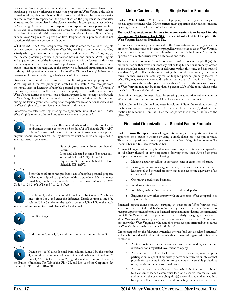Sales within West Virginia are generally determined on a destination basis. If the purchaser picks up or otherwise receives the property in West Virginia, the sale is treated as taking place in this state. If the property is delivered by common carrier or other means of transportation, the place at which the property is received after all transportation is completed is the place where the sale took place. Direct delivery in West Virginia, other than for purposes of transportation, to a person or firm designated by a purchaser, constitutes delivery to the purchaser in West Virginia regardless of where the title passes or other conditions of sale. Direct delivery outside West Virginia, to a person or firm designated by a purchaser, does not constitute delivery to a person in this state.

**OTHER SALES.** Gross receipts from transactions other than sales of tangible personal property are attributable to West Virginia if (1) the income producing activity which gives rise to the receipts is performed entirely in West Virginia; (2) the income producing activity is performed both in and outside West Virginia and a greater portion of the income producing activity is performed in this state than in any other state, based on cost of performance; or (3) if the sale constitutes business income to the taxpayer, or the taxpayer is a financial organization subject to the special apportionment rules. Refer to West Virginia Code §11-24-7 for a discussion of income producing activity and cost of performance.

Gross receipts from the sale, lease, rental, or licensing of real property are in West Virginia if the real property is located in this state. Gross receipts from the rental, lease or licensing of tangible personal property are in West Virginia if the property is located in this state. If such property is both within and without West Virginia during the rental, lease or licensing period, gross receipts attributable to West Virginia shall be determined based upon the total time within the state during the taxable year. Gross receipts for the performance of personal services are in West Virginia if such services are performed in this state.

Determine the sales factor by entering the appropriate amount on line 3. Enter West Virginia sales in column 1 and sales everywhere in column 2.

### 3 **L <sup>i</sup> <sup>n</sup> <sup>e</sup>**

Column 2. Total Sales. This amount when added to the total gross nonbusiness income as shown on Schedule A1 of Schedule UB-4APT, column 1, must equal the sum of your items of gross income as reported on your federal income tax return. Any differences must be noted and explained in an attachment to your return.

| \$ | Sum of gross income items on federal<br>return                             |
|----|----------------------------------------------------------------------------|
| \$ | Less total allocated income (Schedule A1<br>of Schedule UB-4APT, column 1) |
| \$ | Equals line 3, column 2, Schedule B1 of<br>Schedule UB-4APT.               |

4 **L <sup>i</sup> <sup>n</sup> <sup>e</sup>**

Enter the total gross receipts from sales of tangible personal property delivered or shipped to a purchaser within a state in which you are not taxed (e.g. Public Law 86-272). This is the throw out rule per WV Code §11-24-7(e)(11)(B) and §11-23-5(l)(2).

5 **L <sup>i</sup> <sup>n</sup> <sup>e</sup>**

In column 1, enter the amount from line 3. In Column 2, subtract line 4 from line 3 and enter the difference. Divide column 1, line 5 by column 2, line 5 and enter the result in column 3, line 5. State the result as a decimal and round to six (6) places after the decimal.

![](_page_16_Picture_11.jpeg)

Enter line 5 again.

![](_page_16_Picture_13.jpeg)

8

Add column 3, lines 1, 2, 5, and 6 and enter the sum in column 3.

**L <sup>i</sup> <sup>n</sup> <sup>e</sup>** Divide the six (6) digit decimal from column 3, line 7 by the number 4, reduced by the number of factors, if any, showing zero in column 2, lines 1, 2, 5, or 6. Enter the six (6) digit decimal fraction from line 20 of the Business Franchise Tax Tab of the UB-4CR and line 11 of the Corporate Net Income Tax Tab of the UB-4CR.

#### **Motor Carriers – Special Single Factor Formula**

Part 2 - Vehicle Miles. Motor carriers of property or passengers are subject to special apportionment rules. Motor carriers must apportion their business income by using a single factor formula of vehicle miles.

#### **The special apportionment formula for motor carriers is to be used for the**  Corporation Net Income Tax ONLY! The special rules DO NOT apply to the **West Virginia Business Franchise Tax.**

A motor carrier is any person engaged in the transportation of passengers and/or property for compensation by a motor propelled vehicle over roads in West Virginia, whether on a scheduled route or otherwise. The term "vehicle miles" means the operation of a motor carrier over a distance of one mile.

The special apportionment formula for motor carriers does not apply if (A) the motor carrier neither owns nor rents any real or tangible personal property located in this state, has made no pick ups or deliveries within this state, and has traveled less than 50,000 miles in this state during the taxable year; or (B) the motor carrier neither owns nor rents any real or tangible personal property located in West Virginia, except vehicles, and made no more than 12 trips into or through this state during the taxable year. Under either (A) or (B), the mileage traveled in West Virginia may not be more than 5 percent (.05) of the total vehicle miles traveled in all states during the taxable year.

Determine the apportionment factor by entering the appropriate vehicle miles for West Virginia in column 1 and vehicle miles everywhere in column 2.

Divide column 1 by column 2 and enter in column 3. State the result as a decimal fraction and round to six places after the decimal. Enter the six (6) digit decimal fraction from column 3 on line 11 of the Corporate Net Income Tax Tab of the UB-4CR.

#### **Financial Organizations – Special Factor Formula**

Part 3 - Gross Receipts. Financial organizations subject to apportionment must apportion their business income by using a single factor gross receipts formula. This special apportionment rule applies to both the West Virginia Corporation Net Income Tax and Business Franchise Tax.

A financial organization is any holding company or regulated financial corporation or subsidiary thereof, or any corporation deriving more than 50% of its gross receipts from one or more of the following:

- 1. Making, acquiring, selling, or servicing loans or extensions of credit.
- 2. Leasing or acting as an agent, broker, or advisor in connection with leasing real and personal property that is the economic equivalent of an extension of credit.
- 3. Operating a credit card business.
- 4. Rendering estate or trust services.
- 5. Receiving, maintaining or otherwise handling deposits.
- 6. Engaging in any other activity with an economic effect comparable to any of the above.

Financial organizations regularly engaging in business in West Virginia shall apportion their capital and business income by means of a single factor gross receipts apportionment formula. A financial organization not having its commercial domicile in West Virginia is presumed to be regularly engaging in business in West Virginia if during any year it obtains or solicits business with 20 or more persons within West Virginia, or the sum of its gross receipts attributable to sources in West Virginia equals or exceeds \$100,000.00.

Gross receipts from the following ownership interest (and certain related activities) will not be considered in determining whether a financial organization is subject to taxation:

- 1. An interest in a real estate mortgage investment conduit, a real estate investment or a regulated investment company.
- 2. An interest in a loan backed security representing ownership or participation in a pool of promissory notes or certificates or interest that provide for payments in relation to payments or reasonable projections of payments on the notes or certificates.
- 3. An interest in a loan or other asset from which the interest is attributed to a consumer loan, a commercial loan or a secured commercial loan, and in which the payment obligation(s) were solicited and entered into by a person that is independent and not acting on behalf of the owner;

#### **Page 17 2014 West Virginia Corporate Net Income Tax**